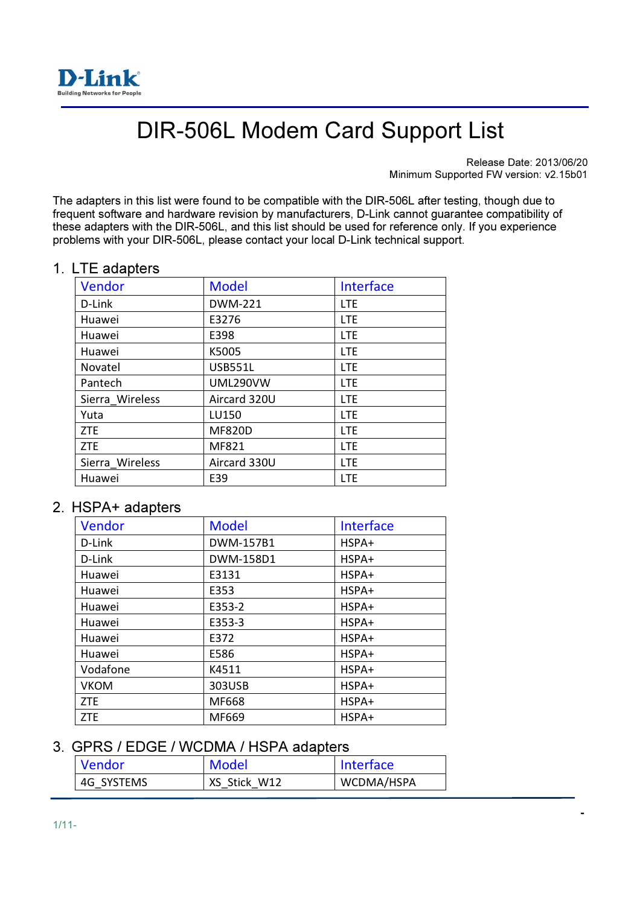

# DIR-506L Modem Card Support List

Release Date: 2013/06/20 Minimum Supported FW version: v2.15b01

- 1990 - 1990 - 1990 - 1991 - 1991 - 1991 - 1991 - 1991 - 1991 - 1991 - 1991 - 1991 - 1991 - 1991 - 1991 - 19<br>1991 - 1992 - 1993 - 1994 - 1995 - 1996 - 1997 - 1997 - 1997 - 1997 - 1997 - 1997 - 1997 - 1997 - 1997 - 1997

The adapters in this list were found to be compatible with the DIR-506L after testing, though due to frequent software and hardware revision by manufacturers, D-Link cannot guarantee compatibility of these adapters with the DIR-506L, and this list should be used for reference only. If you experience problems with your DIR-506L, please contact your local D-Link technical support.

#### 1. LTE adapters

| <b>Model</b>    | Interface  |
|-----------------|------------|
| <b>DWM-221</b>  | <b>LTE</b> |
| E3276           | <b>LTE</b> |
| E398            | <b>LTE</b> |
| K5005           | <b>LTE</b> |
| <b>USB551L</b>  | <b>LTE</b> |
| <b>UML290VW</b> | <b>LTE</b> |
| Aircard 320U    | <b>LTE</b> |
| LU150           | <b>LTE</b> |
| <b>MF820D</b>   | <b>LTE</b> |
| MF821           | <b>LTE</b> |
| Aircard 330U    | <b>LTE</b> |
| E39             | <b>LTE</b> |
|                 |            |

### 2. HSPA+ adapters

| Vendor      | <b>Model</b> | Interface |
|-------------|--------------|-----------|
| D-Link      | DWM-157B1    | HSPA+     |
| D-Link      | DWM-158D1    | HSPA+     |
| Huawei      | E3131        | HSPA+     |
| Huawei      | E353         | HSPA+     |
| Huawei      | E353-2       | HSPA+     |
| Huawei      | E353-3       | HSPA+     |
| Huawei      | E372         | HSPA+     |
| Huawei      | E586         | HSPA+     |
| Vodafone    | K4511        | HSPA+     |
| <b>VKOM</b> | 303USB       | HSPA+     |
| <b>ZTE</b>  | MF668        | HSPA+     |
| <b>ZTE</b>  | MF669        | HSPA+     |

### 3. GPRS / EDGE / WCDMA / HSPA adapters

| Vendor                  | Model        | <b>Interface</b> |
|-------------------------|--------------|------------------|
| <sup>1</sup> 4G SYSTEMS | XS Stick W12 | WCDMA/HSPA       |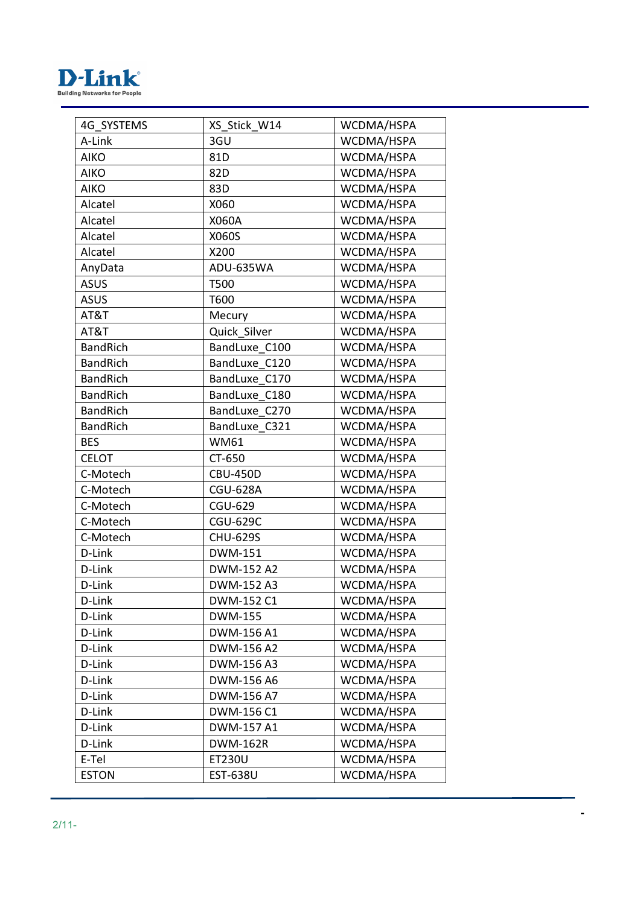

| 4G SYSTEMS      | XS Stick_W14    | WCDMA/HSPA |
|-----------------|-----------------|------------|
| A-Link          | 3GU             | WCDMA/HSPA |
| <b>AIKO</b>     | 81D             | WCDMA/HSPA |
| <b>AIKO</b>     | 82D             | WCDMA/HSPA |
| <b>AIKO</b>     | 83D             | WCDMA/HSPA |
| Alcatel         | X060            | WCDMA/HSPA |
| Alcatel         | X060A           | WCDMA/HSPA |
| Alcatel         | X060S           | WCDMA/HSPA |
| Alcatel         | X200            | WCDMA/HSPA |
| AnyData         | ADU-635WA       | WCDMA/HSPA |
| <b>ASUS</b>     | T500            | WCDMA/HSPA |
| <b>ASUS</b>     | T600            | WCDMA/HSPA |
| AT&T            | Mecury          | WCDMA/HSPA |
| AT&T            | Quick Silver    | WCDMA/HSPA |
| <b>BandRich</b> | BandLuxe_C100   | WCDMA/HSPA |
| <b>BandRich</b> | BandLuxe C120   | WCDMA/HSPA |
| <b>BandRich</b> | BandLuxe C170   | WCDMA/HSPA |
| <b>BandRich</b> | BandLuxe C180   | WCDMA/HSPA |
| <b>BandRich</b> | BandLuxe C270   | WCDMA/HSPA |
| <b>BandRich</b> | BandLuxe C321   | WCDMA/HSPA |
| <b>BES</b>      | <b>WM61</b>     | WCDMA/HSPA |
| <b>CELOT</b>    | CT-650          | WCDMA/HSPA |
| C-Motech        | <b>CBU-450D</b> | WCDMA/HSPA |
| C-Motech        | <b>CGU-628A</b> | WCDMA/HSPA |
| C-Motech        | <b>CGU-629</b>  | WCDMA/HSPA |
| C-Motech        | <b>CGU-629C</b> | WCDMA/HSPA |
| C-Motech        | <b>CHU-629S</b> | WCDMA/HSPA |
| D-Link          | <b>DWM-151</b>  | WCDMA/HSPA |
| D-Link          | DWM-152 A2      | WCDMA/HSPA |
| D-Link          | DWM-152 A3      | WCDMA/HSPA |
| D-Link          | DWM-152 C1      | WCDMA/HSPA |
| D-Link          | DWM-155         | WCDMA/HSPA |
| D-Link          | DWM-156 A1      | WCDMA/HSPA |
| D-Link          | DWM-156 A2      | WCDMA/HSPA |
| D-Link          | DWM-156 A3      | WCDMA/HSPA |
| D-Link          | DWM-156 A6      | WCDMA/HSPA |
| D-Link          | DWM-156 A7      | WCDMA/HSPA |
| D-Link          | DWM-156 C1      | WCDMA/HSPA |
| D-Link          | DWM-157 A1      | WCDMA/HSPA |
| D-Link          | <b>DWM-162R</b> | WCDMA/HSPA |
| E-Tel           | <b>ET230U</b>   | WCDMA/HSPA |
| <b>ESTON</b>    | <b>EST-638U</b> | WCDMA/HSPA |
|                 |                 |            |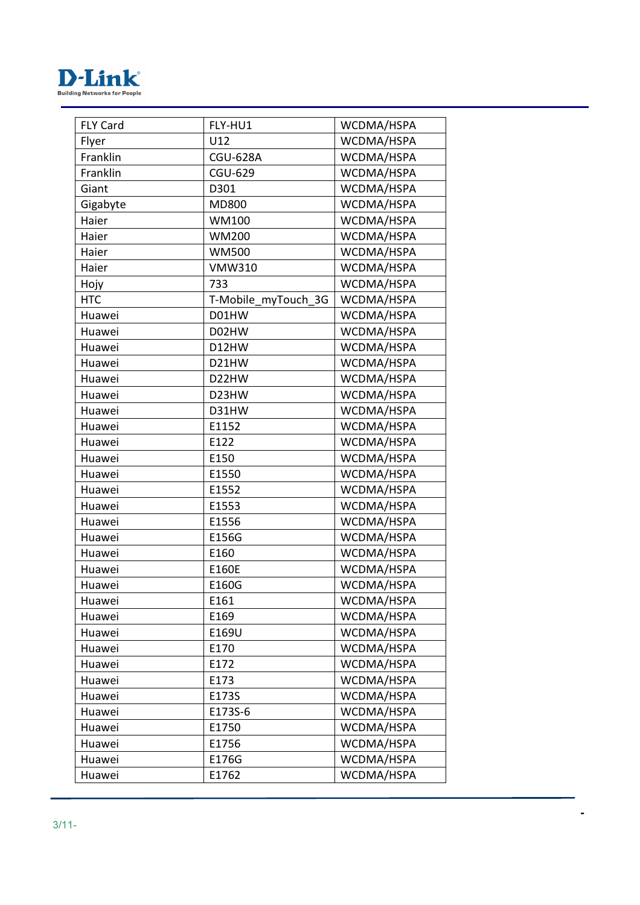

| <b>FLY Card</b> | FLY-HU1             | WCDMA/HSPA |
|-----------------|---------------------|------------|
| Flyer           | U12                 | WCDMA/HSPA |
| Franklin        | <b>CGU-628A</b>     | WCDMA/HSPA |
| Franklin        | CGU-629             | WCDMA/HSPA |
| Giant           | D301                | WCDMA/HSPA |
| Gigabyte        | MD800               | WCDMA/HSPA |
| Haier           | WM100               | WCDMA/HSPA |
| Haier           | <b>WM200</b>        | WCDMA/HSPA |
| Haier           | <b>WM500</b>        | WCDMA/HSPA |
| Haier           | <b>VMW310</b>       | WCDMA/HSPA |
| Hojy            | 733                 | WCDMA/HSPA |
| <b>HTC</b>      | T-Mobile_myTouch_3G | WCDMA/HSPA |
| Huawei          | D01HW               | WCDMA/HSPA |
| Huawei          | D02HW               | WCDMA/HSPA |
| Huawei          | D12HW               | WCDMA/HSPA |
| Huawei          | D21HW               | WCDMA/HSPA |
| Huawei          | D22HW               | WCDMA/HSPA |
| Huawei          | D23HW               | WCDMA/HSPA |
| Huawei          | D31HW               | WCDMA/HSPA |
| Huawei          | E1152               | WCDMA/HSPA |
| Huawei          | E122                | WCDMA/HSPA |
| Huawei          | E150                | WCDMA/HSPA |
| Huawei          | E1550               | WCDMA/HSPA |
| Huawei          | E1552               | WCDMA/HSPA |
| Huawei          | E1553               | WCDMA/HSPA |
| Huawei          | E1556               | WCDMA/HSPA |
| Huawei          | E156G               | WCDMA/HSPA |
| Huawei          | E160                | WCDMA/HSPA |
| Huawei          | E160E               | WCDMA/HSPA |
| Huawei          | E160G               | WCDMA/HSPA |
| Huawei          | E161                | WCDMA/HSPA |
| Huawei          | E169                | WCDMA/HSPA |
| Huawei          | E169U               | WCDMA/HSPA |
| Huawei          | E170                | WCDMA/HSPA |
| Huawei          | E172                | WCDMA/HSPA |
| Huawei          | E173                | WCDMA/HSPA |
| Huawei          | E173S               | WCDMA/HSPA |
| Huawei          | E173S-6             | WCDMA/HSPA |
| Huawei          | E1750               | WCDMA/HSPA |
| Huawei          | E1756               | WCDMA/HSPA |
| Huawei          | E176G               | WCDMA/HSPA |
| Huawei          | E1762               | WCDMA/HSPA |
|                 |                     |            |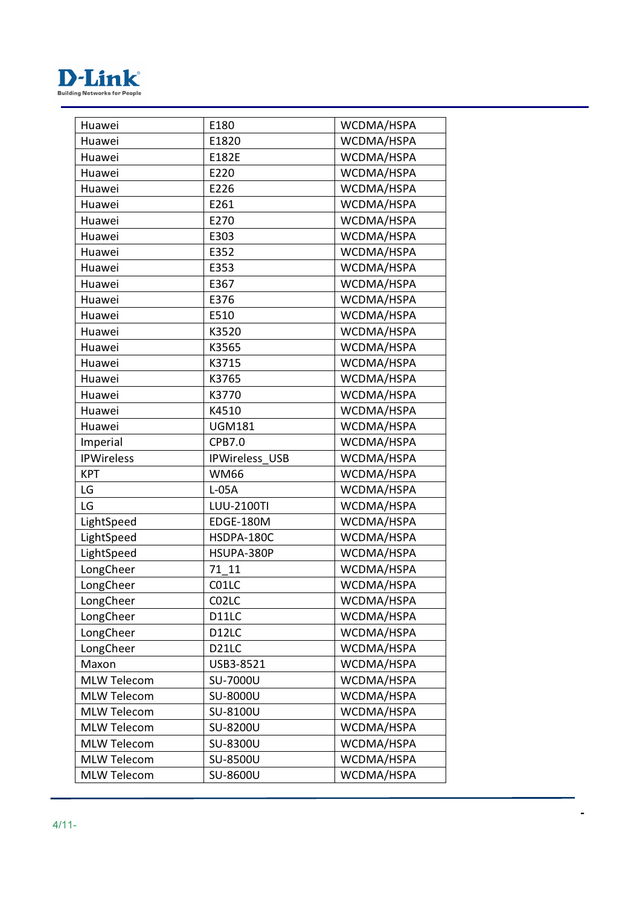

| Huawei             | E180                  | WCDMA/HSPA |
|--------------------|-----------------------|------------|
| Huawei             | E1820                 | WCDMA/HSPA |
| Huawei             | E182E                 | WCDMA/HSPA |
| Huawei             | E220                  | WCDMA/HSPA |
| Huawei             | E226                  | WCDMA/HSPA |
| Huawei             | E261                  | WCDMA/HSPA |
| Huawei             | E270                  | WCDMA/HSPA |
| Huawei             | E303                  | WCDMA/HSPA |
| Huawei             | E352                  | WCDMA/HSPA |
| Huawei             | E353                  | WCDMA/HSPA |
| Huawei             | E367                  | WCDMA/HSPA |
| Huawei             | E376                  | WCDMA/HSPA |
| Huawei             | E510                  | WCDMA/HSPA |
| Huawei             | K3520                 | WCDMA/HSPA |
| Huawei             | K3565                 | WCDMA/HSPA |
| Huawei             | K3715                 | WCDMA/HSPA |
| Huawei             | K3765                 | WCDMA/HSPA |
| Huawei             | K3770                 | WCDMA/HSPA |
| Huawei             | K4510                 | WCDMA/HSPA |
| Huawei             | <b>UGM181</b>         | WCDMA/HSPA |
| Imperial           | CPB7.0                | WCDMA/HSPA |
| <b>IPWireless</b>  | <b>IPWireless USB</b> | WCDMA/HSPA |
| <b>KPT</b>         | <b>WM66</b>           | WCDMA/HSPA |
| LG                 | $L-05A$               | WCDMA/HSPA |
| LG                 | <b>LUU-2100TI</b>     | WCDMA/HSPA |
| LightSpeed         | EDGE-180M             | WCDMA/HSPA |
| LightSpeed         | HSDPA-180C            | WCDMA/HSPA |
| LightSpeed         | HSUPA-380P            | WCDMA/HSPA |
| LongCheer          | 71 11                 | WCDMA/HSPA |
| LongCheer          | C01LC                 | WCDMA/HSPA |
| LongCheer          | C02LC                 | WCDMA/HSPA |
| LongCheer          | D11LC                 | WCDMA/HSPA |
| LongCheer          | D <sub>12</sub> LC    | WCDMA/HSPA |
| LongCheer          | D <sub>21</sub> LC    | WCDMA/HSPA |
| Maxon              | USB3-8521             | WCDMA/HSPA |
| <b>MLW Telecom</b> | SU-7000U              | WCDMA/HSPA |
| <b>MLW Telecom</b> | SU-8000U              | WCDMA/HSPA |
| <b>MLW Telecom</b> | SU-8100U              | WCDMA/HSPA |
| <b>MLW Telecom</b> | SU-8200U              | WCDMA/HSPA |
| <b>MLW Telecom</b> | SU-8300U              | WCDMA/HSPA |
| <b>MLW Telecom</b> | SU-8500U              | WCDMA/HSPA |
| <b>MLW Telecom</b> | SU-8600U              | WCDMA/HSPA |
|                    |                       |            |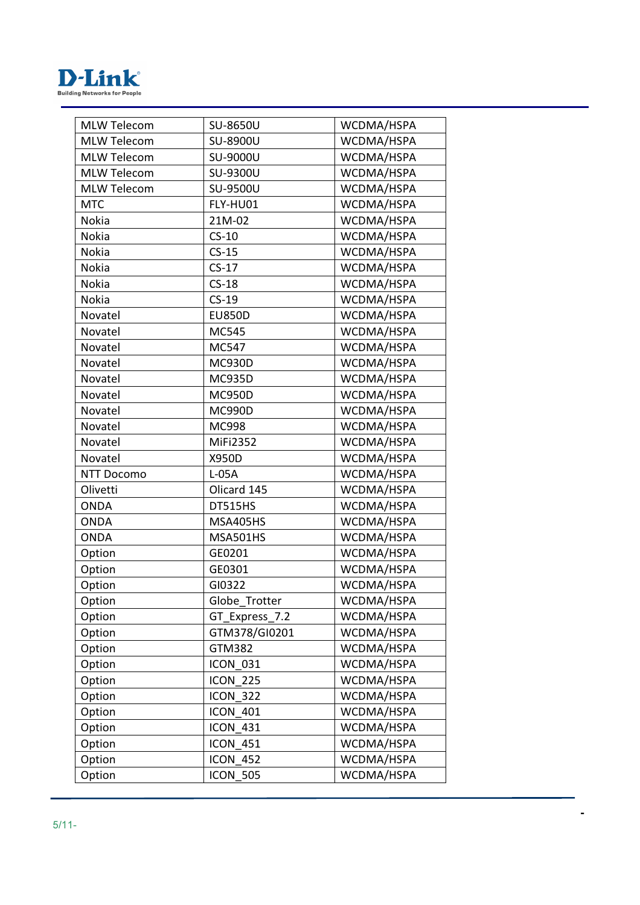

| <b>MLW Telecom</b> | SU-8650U        | WCDMA/HSPA |
|--------------------|-----------------|------------|
| <b>MLW Telecom</b> | SU-8900U        | WCDMA/HSPA |
| <b>MLW Telecom</b> | SU-9000U        | WCDMA/HSPA |
| <b>MLW Telecom</b> | SU-9300U        | WCDMA/HSPA |
| <b>MLW Telecom</b> | SU-9500U        | WCDMA/HSPA |
| <b>MTC</b>         | FLY-HU01        | WCDMA/HSPA |
| Nokia              | 21M-02          | WCDMA/HSPA |
| Nokia              | $CS-10$         | WCDMA/HSPA |
| <b>Nokia</b>       | $CS-15$         | WCDMA/HSPA |
| Nokia              | $CS-17$         | WCDMA/HSPA |
| Nokia              | $CS-18$         | WCDMA/HSPA |
| Nokia              | $CS-19$         | WCDMA/HSPA |
| Novatel            | <b>EU850D</b>   | WCDMA/HSPA |
| Novatel            | MC545           | WCDMA/HSPA |
| Novatel            | MC547           | WCDMA/HSPA |
| Novatel            | <b>MC930D</b>   | WCDMA/HSPA |
| Novatel            | <b>MC935D</b>   | WCDMA/HSPA |
| Novatel            | <b>MC950D</b>   | WCDMA/HSPA |
| Novatel            | <b>MC990D</b>   | WCDMA/HSPA |
| Novatel            | MC998           | WCDMA/HSPA |
| Novatel            | <b>MiFi2352</b> | WCDMA/HSPA |
| Novatel            | X950D           | WCDMA/HSPA |
| <b>NTT Docomo</b>  | $L-05A$         | WCDMA/HSPA |
| Olivetti           | Olicard 145     | WCDMA/HSPA |
| <b>ONDA</b>        | DT515HS         | WCDMA/HSPA |
| <b>ONDA</b>        | MSA405HS        | WCDMA/HSPA |
| <b>ONDA</b>        | MSA501HS        | WCDMA/HSPA |
| Option             | GE0201          | WCDMA/HSPA |
| Option             | GE0301          | WCDMA/HSPA |
| Option             | GI0322          | WCDMA/HSPA |
| Option             | Globe_Trotter   | WCDMA/HSPA |
| Option             | GT_Express_7.2  | WCDMA/HSPA |
| Option             | GTM378/GI0201   | WCDMA/HSPA |
| Option             | GTM382          | WCDMA/HSPA |
| Option             | <b>ICON 031</b> | WCDMA/HSPA |
| Option             | <b>ICON 225</b> | WCDMA/HSPA |
| Option             | <b>ICON 322</b> | WCDMA/HSPA |
| Option             | <b>ICON 401</b> | WCDMA/HSPA |
| Option             | <b>ICON 431</b> | WCDMA/HSPA |
| Option             | <b>ICON 451</b> | WCDMA/HSPA |
| Option             | <b>ICON 452</b> | WCDMA/HSPA |
| Option             | <b>ICON 505</b> | WCDMA/HSPA |
|                    |                 |            |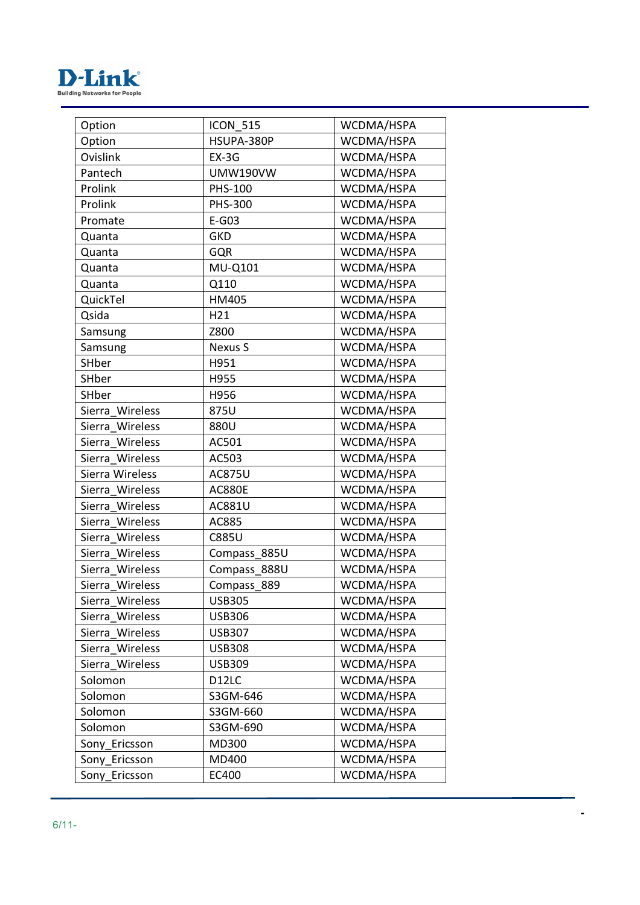

| Option          | <b>ICON 515</b> | WCDMA/HSPA |
|-----------------|-----------------|------------|
| Option          | HSUPA-380P      | WCDMA/HSPA |
| Ovislink        | $EX-3G$         | WCDMA/HSPA |
| Pantech         | <b>UMW190VW</b> | WCDMA/HSPA |
| Prolink         | <b>PHS-100</b>  | WCDMA/HSPA |
| Prolink         | PHS-300         | WCDMA/HSPA |
| Promate         | $E-G03$         | WCDMA/HSPA |
| Quanta          | <b>GKD</b>      | WCDMA/HSPA |
| Quanta          | <b>GQR</b>      | WCDMA/HSPA |
| Quanta          | MU-Q101         | WCDMA/HSPA |
| Quanta          | Q110            | WCDMA/HSPA |
| QuickTel        | HM405           | WCDMA/HSPA |
| Qsida           | H21             | WCDMA/HSPA |
| Samsung         | Z800            | WCDMA/HSPA |
| Samsung         | <b>Nexus S</b>  | WCDMA/HSPA |
| SHber           | H951            | WCDMA/HSPA |
| SHber           | H955            | WCDMA/HSPA |
| SHber           | H956            | WCDMA/HSPA |
| Sierra Wireless | 875U            | WCDMA/HSPA |
| Sierra Wireless | 880U            | WCDMA/HSPA |
| Sierra Wireless | AC501           | WCDMA/HSPA |
| Sierra Wireless | AC503           | WCDMA/HSPA |
| Sierra Wireless | <b>AC875U</b>   | WCDMA/HSPA |
| Sierra Wireless | <b>AC880E</b>   | WCDMA/HSPA |
| Sierra Wireless | <b>AC881U</b>   | WCDMA/HSPA |
| Sierra Wireless | AC885           | WCDMA/HSPA |
| Sierra Wireless | <b>C885U</b>    | WCDMA/HSPA |
| Sierra Wireless | Compass_885U    | WCDMA/HSPA |
| Sierra Wireless | Compass_888U    | WCDMA/HSPA |
| Sierra Wireless | Compass 889     | WCDMA/HSPA |
| Sierra Wireless | <b>USB305</b>   | WCDMA/HSPA |
| Sierra Wireless | <b>USB306</b>   | WCDMA/HSPA |
| Sierra Wireless | <b>USB307</b>   | WCDMA/HSPA |
| Sierra Wireless | <b>USB308</b>   | WCDMA/HSPA |
| Sierra Wireless | <b>USB309</b>   | WCDMA/HSPA |
| Solomon         | D12LC           | WCDMA/HSPA |
| Solomon         | S3GM-646        | WCDMA/HSPA |
| Solomon         | S3GM-660        | WCDMA/HSPA |
| Solomon         | S3GM-690        | WCDMA/HSPA |
| Sony Ericsson   | MD300           | WCDMA/HSPA |
| Sony Ericsson   | MD400           | WCDMA/HSPA |
| Sony Ericsson   | EC400           | WCDMA/HSPA |
|                 |                 |            |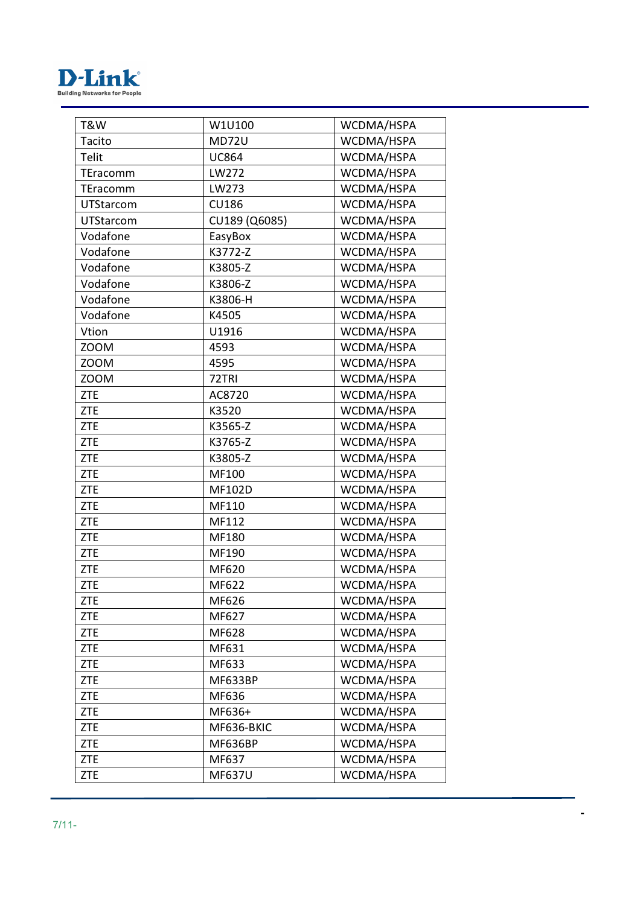

| T&W         | W1U100         | WCDMA/HSPA |
|-------------|----------------|------------|
| Tacito      | <b>MD72U</b>   | WCDMA/HSPA |
| Telit       | <b>UC864</b>   | WCDMA/HSPA |
| TEracomm    | LW272          | WCDMA/HSPA |
| TEracomm    | LW273          | WCDMA/HSPA |
| UTStarcom   | <b>CU186</b>   | WCDMA/HSPA |
| UTStarcom   | CU189 (Q6085)  | WCDMA/HSPA |
| Vodafone    | EasyBox        | WCDMA/HSPA |
| Vodafone    | K3772-Z        | WCDMA/HSPA |
| Vodafone    | K3805-Z        | WCDMA/HSPA |
| Vodafone    | K3806-Z        | WCDMA/HSPA |
| Vodafone    | K3806-H        | WCDMA/HSPA |
| Vodafone    | K4505          | WCDMA/HSPA |
| Vtion       | U1916          | WCDMA/HSPA |
| ZOOM        | 4593           | WCDMA/HSPA |
| <b>ZOOM</b> | 4595           | WCDMA/HSPA |
| <b>ZOOM</b> | 72TRI          | WCDMA/HSPA |
| <b>ZTE</b>  | AC8720         | WCDMA/HSPA |
| <b>ZTE</b>  | K3520          | WCDMA/HSPA |
| <b>ZTE</b>  | K3565-Z        | WCDMA/HSPA |
| <b>ZTE</b>  | K3765-Z        | WCDMA/HSPA |
| <b>ZTE</b>  | K3805-Z        | WCDMA/HSPA |
| <b>ZTE</b>  | MF100          | WCDMA/HSPA |
| <b>ZTE</b>  | <b>MF102D</b>  | WCDMA/HSPA |
| <b>ZTE</b>  | MF110          | WCDMA/HSPA |
| <b>ZTE</b>  | MF112          | WCDMA/HSPA |
| <b>ZTE</b>  | <b>MF180</b>   | WCDMA/HSPA |
| <b>ZTE</b>  | MF190          | WCDMA/HSPA |
| <b>ZTE</b>  | MF620          | WCDMA/HSPA |
| <b>ZTE</b>  | MF622          | WCDMA/HSPA |
| ZTE         | MF626          | WCDMA/HSPA |
| <b>ZTE</b>  | MF627          | WCDMA/HSPA |
| <b>ZTE</b>  | MF628          | WCDMA/HSPA |
| <b>ZTE</b>  | MF631          | WCDMA/HSPA |
| <b>ZTE</b>  | MF633          | WCDMA/HSPA |
| <b>ZTE</b>  | <b>MF633BP</b> | WCDMA/HSPA |
| <b>ZTE</b>  | MF636          | WCDMA/HSPA |
| <b>ZTE</b>  | MF636+         | WCDMA/HSPA |
| <b>ZTE</b>  | MF636-BKIC     | WCDMA/HSPA |
| <b>ZTE</b>  | <b>MF636BP</b> | WCDMA/HSPA |
| <b>ZTE</b>  | MF637          | WCDMA/HSPA |
| <b>ZTE</b>  | <b>MF637U</b>  | WCDMA/HSPA |
|             |                |            |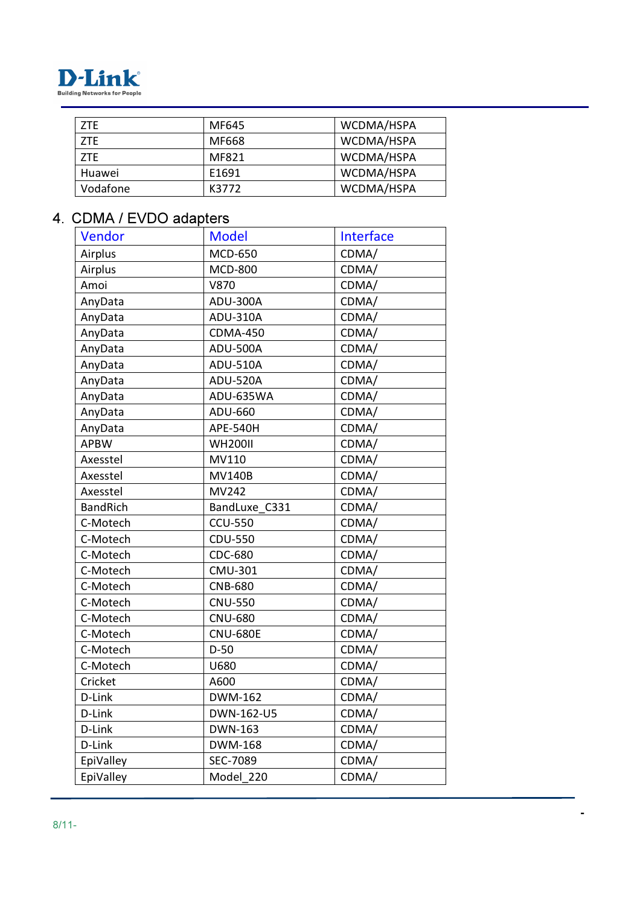

| ZTE.     | MF645 | WCDMA/HSPA |
|----------|-------|------------|
| ZTE      | MF668 | WCDMA/HSPA |
| 7TF      | MF821 | WCDMA/HSPA |
| Huawei   | E1691 | WCDMA/HSPA |
| Vodafone | K3772 | WCDMA/HSPA |

## 4. CDMA / EVDO adapters

| Vendor          | <b>Model</b>    | Interface |
|-----------------|-----------------|-----------|
| Airplus         | <b>MCD-650</b>  | CDMA/     |
| Airplus         | <b>MCD-800</b>  | CDMA/     |
| Amoi            | <b>V870</b>     | CDMA/     |
| AnyData         | ADU-300A        | CDMA/     |
| AnyData         | ADU-310A        | CDMA/     |
| AnyData         | <b>CDMA-450</b> | CDMA/     |
| AnyData         | ADU-500A        | CDMA/     |
| AnyData         | <b>ADU-510A</b> | CDMA/     |
| AnyData         | <b>ADU-520A</b> | CDMA/     |
| AnyData         | ADU-635WA       | CDMA/     |
| AnyData         | ADU-660         | CDMA/     |
| AnyData         | <b>APE-540H</b> | CDMA/     |
| <b>APBW</b>     | <b>WH200II</b>  | CDMA/     |
| Axesstel        | MV110           | CDMA/     |
| Axesstel        | <b>MV140B</b>   | CDMA/     |
| Axesstel        | MV242           | CDMA/     |
| <b>BandRich</b> | BandLuxe C331   | CDMA/     |
| C-Motech        | <b>CCU-550</b>  | CDMA/     |
| C-Motech        | <b>CDU-550</b>  | CDMA/     |
| C-Motech        | CDC-680         | CDMA/     |
| C-Motech        | <b>CMU-301</b>  | CDMA/     |
| C-Motech        | <b>CNB-680</b>  | CDMA/     |
| C-Motech        | <b>CNU-550</b>  | CDMA/     |
| C-Motech        | <b>CNU-680</b>  | CDMA/     |
| C-Motech        | <b>CNU-680E</b> | CDMA/     |
| C-Motech        | $D-50$          | CDMA/     |
| C-Motech        | U680            | CDMA/     |
| Cricket         | A600            | CDMA/     |
| D-Link          | DWM-162         | CDMA/     |
| D-Link          | DWN-162-U5      | CDMA/     |
| D-Link          | <b>DWN-163</b>  | CDMA/     |
| D-Link          | DWM-168         | CDMA/     |
| EpiValley       | SEC-7089        | CDMA/     |
| EpiValley       | Model 220       | CDMA/     |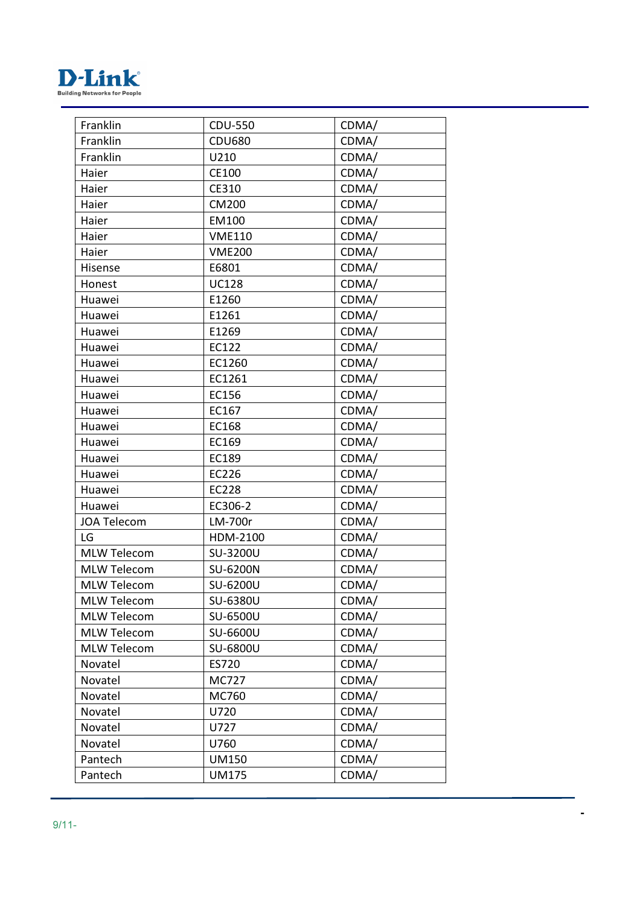

| Franklin           | <b>CDU-550</b> | CDMA/ |
|--------------------|----------------|-------|
| Franklin           | <b>CDU680</b>  | CDMA/ |
| Franklin           | U210           | CDMA/ |
| Haier              | CE100          | CDMA/ |
| Haier              | CE310          | CDMA/ |
| Haier              | CM200          | CDMA/ |
| Haier              | <b>EM100</b>   | CDMA/ |
| Haier              | <b>VME110</b>  | CDMA/ |
| Haier              | <b>VME200</b>  | CDMA/ |
| Hisense            | E6801          | CDMA/ |
| Honest             | <b>UC128</b>   | CDMA/ |
| Huawei             | E1260          | CDMA/ |
| Huawei             | E1261          | CDMA/ |
| Huawei             | E1269          | CDMA/ |
| Huawei             | EC122          | CDMA/ |
| Huawei             | EC1260         | CDMA/ |
| Huawei             | EC1261         | CDMA/ |
| Huawei             | EC156          | CDMA/ |
| Huawei             | EC167          | CDMA/ |
| Huawei             | EC168          | CDMA/ |
| Huawei             | EC169          | CDMA/ |
| Huawei             | EC189          | CDMA/ |
| Huawei             | EC226          | CDMA/ |
| Huawei             | <b>EC228</b>   | CDMA/ |
| Huawei             | EC306-2        | CDMA/ |
| <b>JOA Telecom</b> | LM-700r        | CDMA/ |
| LG                 | HDM-2100       | CDMA/ |
| <b>MLW Telecom</b> | SU-3200U       | CDMA/ |
| <b>MLW Telecom</b> | SU-6200N       | CDMA/ |
| <b>MLW Telecom</b> | SU-6200U       | CDMA/ |
| <b>MLW Telecom</b> | SU-6380U       | CDMA/ |
| <b>MLW Telecom</b> | SU-6500U       | CDMA/ |
| <b>MLW Telecom</b> | SU-6600U       | CDMA/ |
| <b>MLW Telecom</b> | SU-6800U       | CDMA/ |
| Novatel            | ES720          | CDMA/ |
| Novatel            | MC727          | CDMA/ |
| Novatel            | MC760          | CDMA/ |
| Novatel            | U720           | CDMA/ |
| Novatel            | U727           | CDMA/ |
| Novatel            | U760           | CDMA/ |
| Pantech            | <b>UM150</b>   | CDMA/ |
| Pantech            | <b>UM175</b>   | CDMA/ |
|                    |                |       |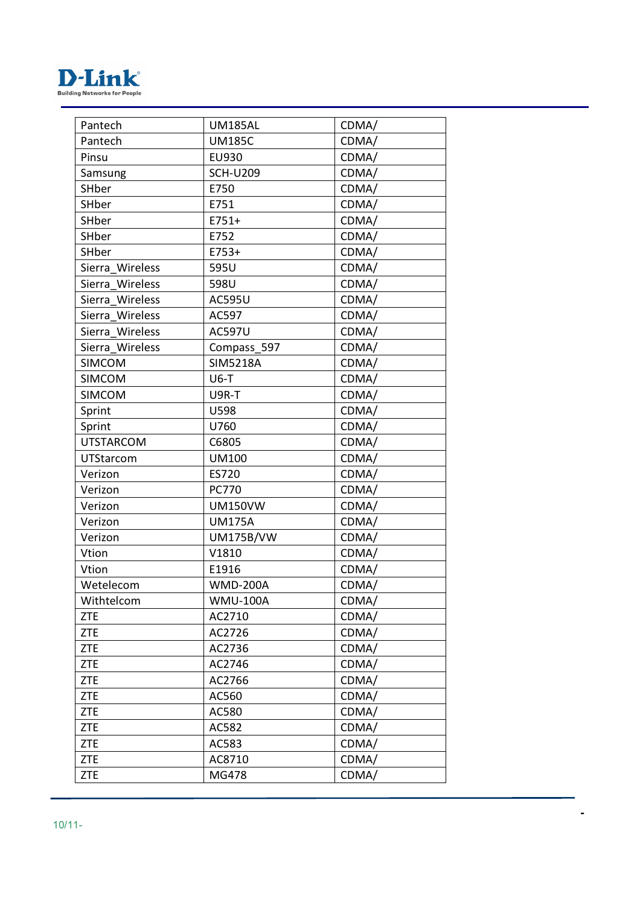

| Pantech          | <b>UM185AL</b>   | CDMA/ |
|------------------|------------------|-------|
| Pantech          | <b>UM185C</b>    | CDMA/ |
| Pinsu            | <b>EU930</b>     | CDMA/ |
| Samsung          | <b>SCH-U209</b>  | CDMA/ |
| SHber            | E750             | CDMA/ |
| SHber            | E751             | CDMA/ |
| SHber            | $E751+$          | CDMA/ |
| SHber            | E752             | CDMA/ |
| SHber            | E753+            | CDMA/ |
| Sierra Wireless  | 595U             | CDMA/ |
| Sierra Wireless  | 598U             | CDMA/ |
| Sierra Wireless  | <b>AC595U</b>    | CDMA/ |
| Sierra Wireless  | AC597            | CDMA/ |
| Sierra Wireless  | <b>AC597U</b>    | CDMA/ |
| Sierra Wireless  | Compass 597      | CDMA/ |
| <b>SIMCOM</b>    | <b>SIM5218A</b>  | CDMA/ |
| <b>SIMCOM</b>    | $U6-T$           | CDMA/ |
| <b>SIMCOM</b>    | U9R-T            | CDMA/ |
| Sprint           | U598             | CDMA/ |
| Sprint           | U760             | CDMA/ |
| <b>UTSTARCOM</b> | C6805            | CDMA/ |
| UTStarcom        | <b>UM100</b>     | CDMA/ |
| Verizon          | ES720            | CDMA/ |
| Verizon          | PC770            | CDMA/ |
| Verizon          | <b>UM150VW</b>   | CDMA/ |
| Verizon          | <b>UM175A</b>    | CDMA/ |
| Verizon          | <b>UM175B/VW</b> | CDMA/ |
| Vtion            | V1810            | CDMA/ |
| Vtion            | E1916            | CDMA/ |
| Wetelecom        | <b>WMD-200A</b>  | CDMA/ |
| Withtelcom       | <b>WMU-100A</b>  | CDMA/ |
| <b>ZTE</b>       | AC2710           | CDMA/ |
| <b>ZTE</b>       | AC2726           | CDMA/ |
| <b>ZTE</b>       | AC2736           | CDMA/ |
| <b>ZTE</b>       | AC2746           | CDMA/ |
| <b>ZTE</b>       | AC2766           | CDMA/ |
| <b>ZTE</b>       | AC560            | CDMA/ |
| <b>ZTE</b>       | AC580            | CDMA/ |
| <b>ZTE</b>       | AC582            | CDMA/ |
| <b>ZTE</b>       | AC583            | CDMA/ |
| <b>ZTE</b>       | AC8710           | CDMA/ |
| <b>ZTE</b>       | MG478            | CDMA/ |
|                  |                  |       |